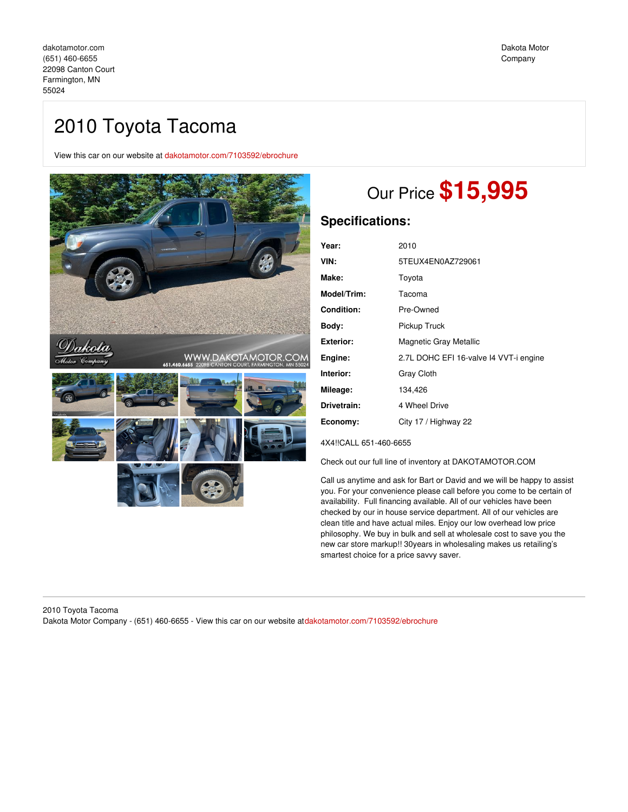# 2010 Toyota Tacoma

View this car on our website at [dakotamotor.com/7103592/ebrochure](https://dakotamotor.com/vehicle/7103592/2010-toyota-tacoma-farmington-mn-55024/7103592/ebrochure)



# Our Price **\$15,995**

## **Specifications:**

| Year:       | 2010                                   |
|-------------|----------------------------------------|
| VIN:        | 5TEUX4EN0AZ729061                      |
| Make:       | Toyota                                 |
| Model/Trim: | Tacoma                                 |
| Condition:  | Pre-Owned                              |
| Body:       | Pickup Truck                           |
| Exterior:   | <b>Magnetic Gray Metallic</b>          |
| Engine:     | 2.7L DOHC EFI 16-valve I4 VVT-i engine |
| Interior:   | Gray Cloth                             |
| Mileage:    | 134,426                                |
| Drivetrain: | 4 Wheel Drive                          |
| Economy:    | City 17 / Highway 22                   |
|             |                                        |

4X4!!CALL 651-460-6655

Check out our full line of inventory at DAKOTAMOTOR.COM

Call us anytime and ask for Bart or David and we will be happy to assist you. For your convenience please call before you come to be certain of availability. Full financing available. All of our vehicles have been checked by our in house service department. All of our vehicles are clean title and have actual miles. Enjoy our low overhead low price philosophy. We buy in bulk and sell at wholesale cost to save you the new car store markup!! 30years in wholesaling makes us retailing's smartest choice for a price savvy saver.

### 2010 Toyota Tacoma Dakota Motor Company - (651) 460-6655 - View this car on our website at[dakotamotor.com/7103592/ebrochure](https://dakotamotor.com/vehicle/7103592/2010-toyota-tacoma-farmington-mn-55024/7103592/ebrochure)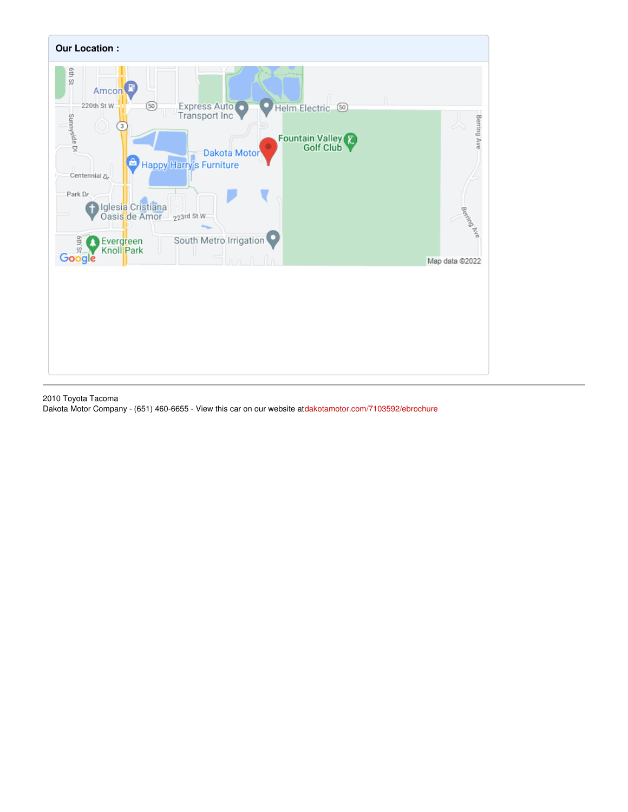

2010 Toyota Tacoma Dakota Motor Company - (651) 460-6655 - View this car on our website at[dakotamotor.com/7103592/ebrochure](https://dakotamotor.com/vehicle/7103592/2010-toyota-tacoma-farmington-mn-55024/7103592/ebrochure)